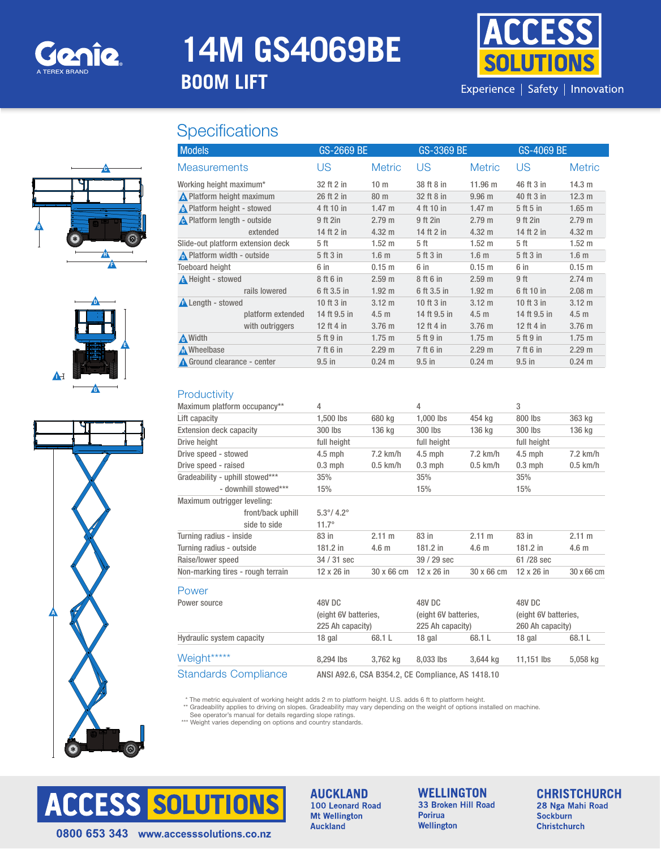

## **14M GS4069BE**

## **BOOM LIFT**

# i [O])

Experience | Safety | Innovation

### **Specifications**







| GS-2669 BE   |                   | GS-3369 BE   |                   | GS-4069 BE   |                   |
|--------------|-------------------|--------------|-------------------|--------------|-------------------|
| US           | <b>Metric</b>     | US           | <b>Metric</b>     | US           | <b>Metric</b>     |
| 32 ft 2 in   | 10 <sub>m</sub>   | 38 ft 8 in   | $11.96 \text{ m}$ | 46 ft 3 in   | 14.3 m            |
| 26 ft 2 in   | 80 m              | 32 ft 8 in   | 9.96 <sub>m</sub> | 40 ft 3 in   | 12.3 m            |
| 4 ft 10 in   | $1.47 \text{ m}$  | 4 ft 10 in   | $1.47 \text{ m}$  | 5 ft 5 in    | $1.65$ m          |
| 9 ft 2in     | 2.79 m            | 9 ft 2in     | 2.79 m            | 9 ft 2in     | 2.79 m            |
| 14 ft 2 in   | $4.32 \text{ m}$  | 14 ft 2 in   | $4.32 \text{ m}$  | 14 ft 2 in   | $4.32 \text{ m}$  |
| 5 ft         | $1.52 \text{ m}$  | 5 ft         | $1.52 \text{ m}$  | 5 ft         | $1.52 \text{ m}$  |
| 5 ft 3 in    | 1.6 <sub>m</sub>  | 5 ft 3 in    | 1.6 <sub>m</sub>  | 5 ft 3 in    | 1.6 <sub>m</sub>  |
| 6 in         | 0.15 m            | 6 in         | 0.15 <sub>m</sub> | 6 in         | 0.15 m            |
| 8 ft 6 in    | 2.59 <sub>m</sub> | 8 ft 6 in    | 2.59 <sub>m</sub> | 9 ft         | 2.74 m            |
| 6 ft 3.5 in  | $1.92 \text{ m}$  | 6 ft 3.5 in  | $1.92 \text{ m}$  | 6 ft 10 in   | 2.08 m            |
| 10 ft 3 in   | $3.12 \text{ m}$  | 10 ft 3 in   | $3.12 \text{ m}$  | 10 ft 3 in   | $3.12 \text{ m}$  |
| 14 ft 9.5 in | 4.5 <sub>m</sub>  | 14 ft 9.5 in | 4.5 <sub>m</sub>  | 14 ft 9.5 in | 4.5 <sub>m</sub>  |
| 12 ft 4 in   | 3.76 <sub>m</sub> | 12 ft 4 in   | 3.76 <sub>m</sub> | 12 ft 4 in   | 3.76 <sub>m</sub> |
| 5 ft 9 in    | $1.75$ m          | 5 ft 9 in    | $1.75 \text{ m}$  | 5 ft 9 in    | $1.75 \text{ m}$  |
| 7 ft 6 in    | 2.29 m            | 7 ft 6 in    | 2.29 <sub>m</sub> | 7 ft 6 in    | 2.29 m            |
| $9.5$ in     | $0.24 \text{ m}$  | $9.5$ in     | $0.24 \text{ m}$  | $9.5$ in     | $0.24 \text{ m}$  |
|              |                   |              |                   |              |                   |

#### **Productivity**

| Maximum platform occupancy**      | 4                          |                                                   | 4                    |            | 3                    |                  |  |  |  |
|-----------------------------------|----------------------------|---------------------------------------------------|----------------------|------------|----------------------|------------------|--|--|--|
|                                   |                            |                                                   |                      |            | 800 lbs              |                  |  |  |  |
| Lift capacity                     | 1,500 lbs                  | 680 kg                                            | 1,000 lbs            | 454 kg     |                      | 363 kg           |  |  |  |
| Extension deck capacity           | 300 lbs                    | 136 kg                                            | 300 lbs              | 136 kg     | 300 lbs              | 136 kg           |  |  |  |
| Drive height                      | full height                |                                                   | full height          |            | full height          |                  |  |  |  |
| Drive speed - stowed              | $4.5$ mph                  | $7.2$ km/h                                        | $4.5$ mph            | $7.2$ km/h | $4.5$ mph            | $7.2$ km/h       |  |  |  |
| Drive speed - raised              | $0.3$ mph                  | $0.5$ km/h                                        | $0.3$ mph            | $0.5$ km/h | $0.3$ mph            | $0.5$ km/h       |  |  |  |
| Gradeability - uphill stowed***   | 35%                        |                                                   | 35%                  |            | 35%                  |                  |  |  |  |
| - downhill stowed***              | 15%                        |                                                   | 15%                  |            | 15%                  |                  |  |  |  |
| Maximum outrigger leveling:       |                            |                                                   |                      |            |                      |                  |  |  |  |
| front/back uphill                 | $5.3^{\circ}/ 4.2^{\circ}$ |                                                   |                      |            |                      |                  |  |  |  |
| side to side                      | $11.7^{\circ}$             |                                                   |                      |            |                      |                  |  |  |  |
| Turning radius - inside           | 83 in                      | $2.11 \text{ m}$                                  | 83 in                | 2.11 m     | 83 in                | 2.11 m           |  |  |  |
| Turning radius - outside          | 181.2 in                   | 4.6 <sub>m</sub>                                  | 181.2 in             | 4.6 m      | $181.2$ in           | 4.6 <sub>m</sub> |  |  |  |
| Raise/lower speed                 | 34 / 31 sec                |                                                   | $39/29$ sec          |            | 61/28 sec            |                  |  |  |  |
| Non-marking tires - rough terrain | 12 x 26 in                 | 30 x 66 cm                                        | 12 x 26 in           | 30 x 66 cm | 12 x 26 in           | 30 x 66 cm       |  |  |  |
| Power                             |                            |                                                   |                      |            |                      |                  |  |  |  |
| Power source                      | 48V DC                     |                                                   | 48V DC               |            | 48V DC               |                  |  |  |  |
|                                   | (eight 6V batteries,       |                                                   | (eight 6V batteries, |            | (eight 6V batteries, |                  |  |  |  |
|                                   | 225 Ah capacity)           |                                                   | 225 Ah capacity)     |            | 260 Ah capacity)     |                  |  |  |  |
| Hydraulic system capacity         | 18 gal                     | 68.1L                                             | 18 gal               | 68.1L      | 18 gal               | 68.1L            |  |  |  |
| Weight*****                       | 8,294 lbs                  | 3,762 kg                                          | 8,033 lbs            | 3,644 kg   | 11,151 lbs           | 5,058 kg         |  |  |  |
| <b>Standards Compliance</b>       |                            | ANSI A92.6, CSA B354.2, CE Compliance, AS 1418.10 |                      |            |                      |                  |  |  |  |

\* The metric equivalent of working height adds 2 m to platform height. U.S. adds 6 ft to platform height.

\*\* Gradeability applies to driving on slopes. Gradeability may vary depending on the weight of options installed on machine.

See operator's manual for details regarding slope ratings. \*\*\* Weight varies depending on options and country standards.



**AUCKLAND** 100 Leonard Road **Mt Wellington Auckland** 

**WELLINGTON** 33 Broken Hill Road **Porirua** Wellington

**CHRISTCHURCH** 28 Nga Mahi Road Sockburn **Christchurch** 

0800 653 343 www.accesssolutions.co.nz